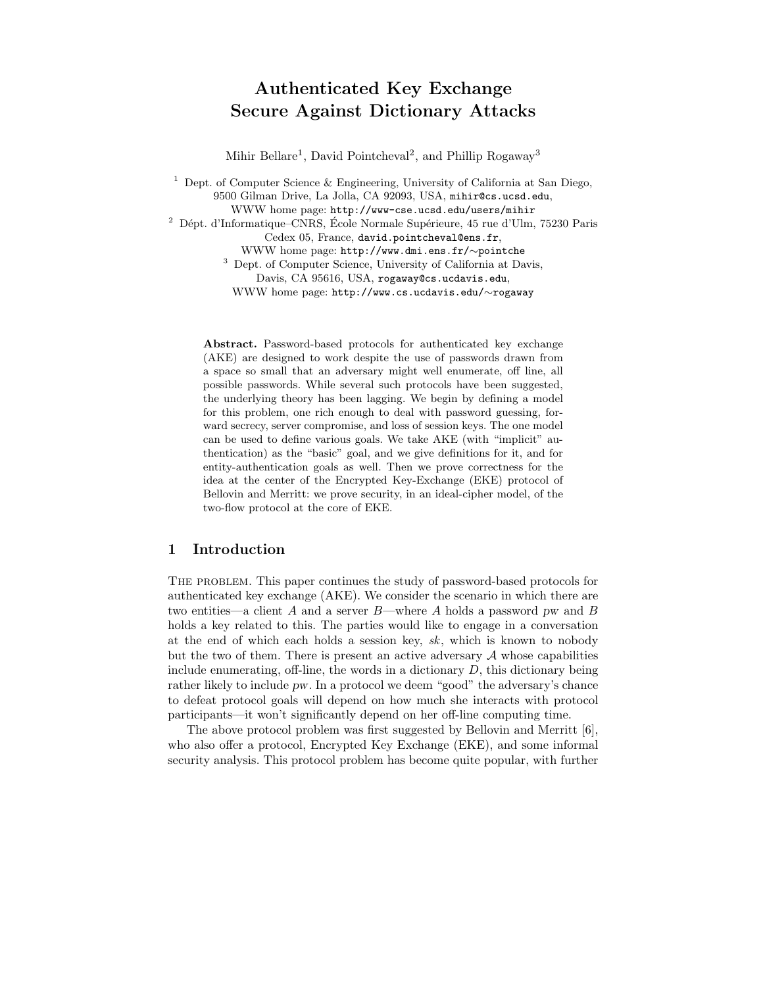# Authenticated Key Exchange Secure Against Dictionary Attacks

Mihir Bellare<sup>1</sup>, David Pointcheval<sup>2</sup>, and Phillip Rogaway<sup>3</sup>

<sup>1</sup> Dept. of Computer Science & Engineering, University of California at San Diego, 9500 Gilman Drive, La Jolla, CA 92093, USA, mihir@cs.ucsd.edu, WWW home page: http://www-cse.ucsd.edu/users/mihir  $2$  Dépt. d'Informatique–CNRS, École Normale Supérieure, 45 rue d'Ulm, 75230 Paris Cedex 05, France, david.pointcheval@ens.fr, WWW home page: http://www.dmi.ens.fr/∼pointche <sup>3</sup> Dept. of Computer Science, University of California at Davis, Davis, CA 95616, USA, rogaway@cs.ucdavis.edu, WWW home page: http://www.cs.ucdavis.edu/∼rogaway

Abstract. Password-based protocols for authenticated key exchange (AKE) are designed to work despite the use of passwords drawn from a space so small that an adversary might well enumerate, off line, all possible passwords. While several such protocols have been suggested, the underlying theory has been lagging. We begin by defining a model for this problem, one rich enough to deal with password guessing, forward secrecy, server compromise, and loss of session keys. The one model can be used to define various goals. We take AKE (with "implicit" authentication) as the "basic" goal, and we give definitions for it, and for entity-authentication goals as well. Then we prove correctness for the idea at the center of the Encrypted Key-Exchange (EKE) protocol of Bellovin and Merritt: we prove security, in an ideal-cipher model, of the two-flow protocol at the core of EKE.

### 1 Introduction

The problem. This paper continues the study of password-based protocols for authenticated key exchange (AKE). We consider the scenario in which there are two entities—a client A and a server  $B$ —where A holds a password pw and B holds a key related to this. The parties would like to engage in a conversation at the end of which each holds a session key,  $sk$ , which is known to nobody but the two of them. There is present an active adversary  $A$  whose capabilities include enumerating, off-line, the words in a dictionary  $D$ , this dictionary being rather likely to include pw. In a protocol we deem "good" the adversary's chance to defeat protocol goals will depend on how much she interacts with protocol participants—it won't significantly depend on her off-line computing time.

The above protocol problem was first suggested by Bellovin and Merritt [6], who also offer a protocol, Encrypted Key Exchange (EKE), and some informal security analysis. This protocol problem has become quite popular, with further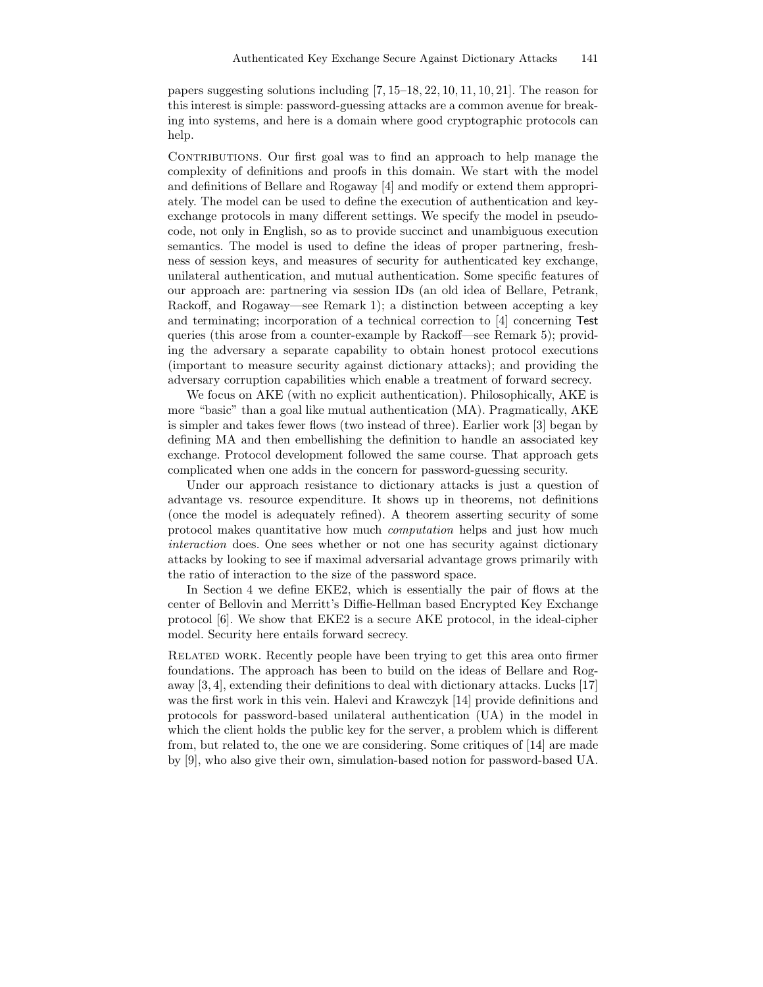papers suggesting solutions including [7, 15–18, 22, 10, 11, 10, 21]. The reason for this interest is simple: password-guessing attacks are a common avenue for breaking into systems, and here is a domain where good cryptographic protocols can help.

CONTRIBUTIONS. Our first goal was to find an approach to help manage the complexity of definitions and proofs in this domain. We start with the model and definitions of Bellare and Rogaway [4] and modify or extend them appropriately. The model can be used to define the execution of authentication and keyexchange protocols in many different settings. We specify the model in pseudocode, not only in English, so as to provide succinct and unambiguous execution semantics. The model is used to define the ideas of proper partnering, freshness of session keys, and measures of security for authenticated key exchange, unilateral authentication, and mutual authentication. Some specific features of our approach are: partnering via session IDs (an old idea of Bellare, Petrank, Rackoff, and Rogaway—see Remark 1); a distinction between accepting a key and terminating; incorporation of a technical correction to [4] concerning Test queries (this arose from a counter-example by Rackoff—see Remark 5); providing the adversary a separate capability to obtain honest protocol executions (important to measure security against dictionary attacks); and providing the adversary corruption capabilities which enable a treatment of forward secrecy.

We focus on AKE (with no explicit authentication). Philosophically, AKE is more "basic" than a goal like mutual authentication (MA). Pragmatically, AKE is simpler and takes fewer flows (two instead of three). Earlier work [3] began by defining MA and then embellishing the definition to handle an associated key exchange. Protocol development followed the same course. That approach gets complicated when one adds in the concern for password-guessing security.

Under our approach resistance to dictionary attacks is just a question of advantage vs. resource expenditure. It shows up in theorems, not definitions (once the model is adequately refined). A theorem asserting security of some protocol makes quantitative how much computation helps and just how much interaction does. One sees whether or not one has security against dictionary attacks by looking to see if maximal adversarial advantage grows primarily with the ratio of interaction to the size of the password space.

In Section 4 we define EKE2, which is essentially the pair of flows at the center of Bellovin and Merritt's Diffie-Hellman based Encrypted Key Exchange protocol [6]. We show that EKE2 is a secure AKE protocol, in the ideal-cipher model. Security here entails forward secrecy.

RELATED WORK. Recently people have been trying to get this area onto firmer foundations. The approach has been to build on the ideas of Bellare and Rogaway [3, 4], extending their definitions to deal with dictionary attacks. Lucks [17] was the first work in this vein. Halevi and Krawczyk [14] provide definitions and protocols for password-based unilateral authentication (UA) in the model in which the client holds the public key for the server, a problem which is different from, but related to, the one we are considering. Some critiques of [14] are made by [9], who also give their own, simulation-based notion for password-based UA.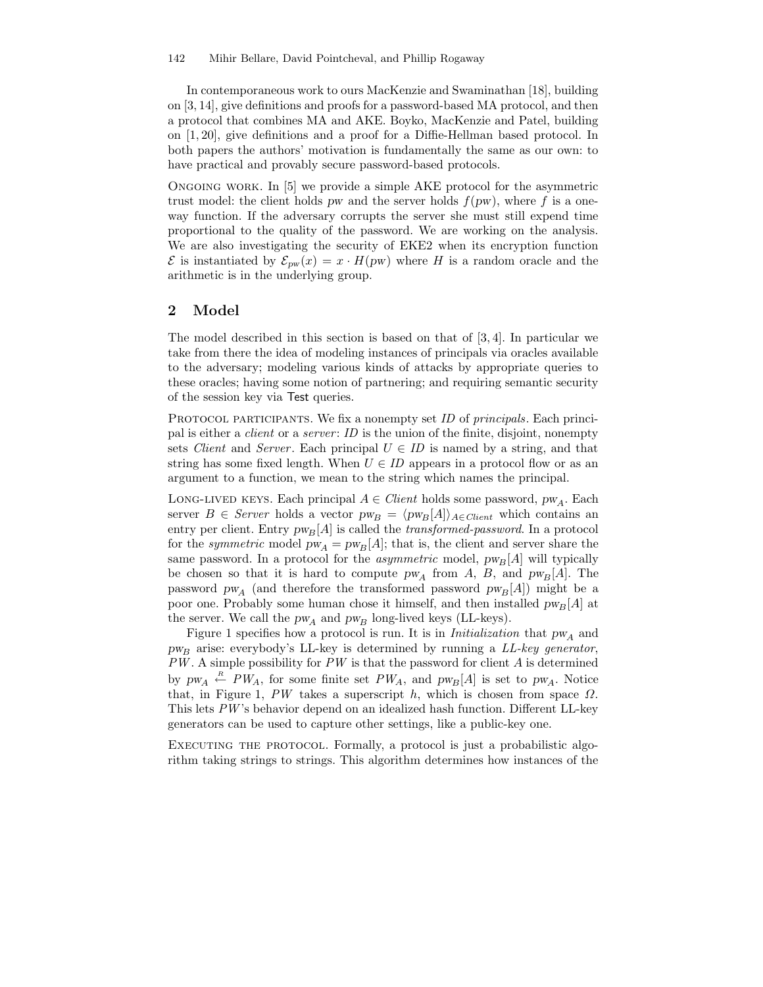In contemporaneous work to ours MacKenzie and Swaminathan [18], building on [3, 14], give definitions and proofs for a password-based MA protocol, and then a protocol that combines MA and AKE. Boyko, MacKenzie and Patel, building on [1, 20], give definitions and a proof for a Diffie-Hellman based protocol. In both papers the authors' motivation is fundamentally the same as our own: to have practical and provably secure password-based protocols.

Ongoing work. In [5] we provide a simple AKE protocol for the asymmetric trust model: the client holds pw and the server holds  $f(pw)$ , where f is a oneway function. If the adversary corrupts the server she must still expend time proportional to the quality of the password. We are working on the analysis. We are also investigating the security of EKE2 when its encryption function  $\mathcal E$  is instantiated by  $\mathcal E_{pw}(x) = x \cdot H(pw)$  where H is a random oracle and the arithmetic is in the underlying group.

#### 2 Model

The model described in this section is based on that of [3, 4]. In particular we take from there the idea of modeling instances of principals via oracles available to the adversary; modeling various kinds of attacks by appropriate queries to these oracles; having some notion of partnering; and requiring semantic security of the session key via Test queries.

PROTOCOL PARTICIPANTS. We fix a nonempty set ID of *principals*. Each principal is either a *client* or a *server*: *ID* is the union of the finite, disjoint, nonempty sets *Client* and *Server*. Each principal  $U \in ID$  is named by a string, and that string has some fixed length. When  $U \in ID$  appears in a protocol flow or as an argument to a function, we mean to the string which names the principal.

LONG-LIVED KEYS. Each principal  $A \in Client$  holds some password,  $pw_A$ . Each server  $B \in Server$  holds a vector  $pw_B = \langle pw_B[A] \rangle_{A \in Client}$  which contains an entry per client. Entry  $pw_B[A]$  is called the *transformed-password*. In a protocol for the *symmetric* model  $pw_A = pw_B[A]$ ; that is, the client and server share the same password. In a protocol for the *asymmetric* model,  $pw_B[A]$  will typically be chosen so that it is hard to compute  $pw_A$  from A, B, and  $pw_B[A]$ . The password  $pw_A$  (and therefore the transformed password  $pw_B[A]$ ) might be a poor one. Probably some human chose it himself, and then installed  $p_{W_B}[A]$  at the server. We call the  $pw_A$  and  $pw_B$  long-lived keys (LL-keys).

Figure 1 specifies how a protocol is run. It is in *Initialization* that  $pw_A$  and  $pw_B$  arise: everybody's LL-key is determined by running a LL-key generator,  $PW$ . A simple possibility for  $PW$  is that the password for client  $A$  is determined by  $pw_A \stackrel{R}{\leftarrow} PW_A$ , for some finite set  $PW_A$ , and  $pw_B[A]$  is set to  $pw_A$ . Notice that, in Figure 1, PW takes a superscript h, which is chosen from space  $\Omega$ . This lets PW 's behavior depend on an idealized hash function. Different LL-key generators can be used to capture other settings, like a public-key one.

Executing the protocol. Formally, a protocol is just a probabilistic algorithm taking strings to strings. This algorithm determines how instances of the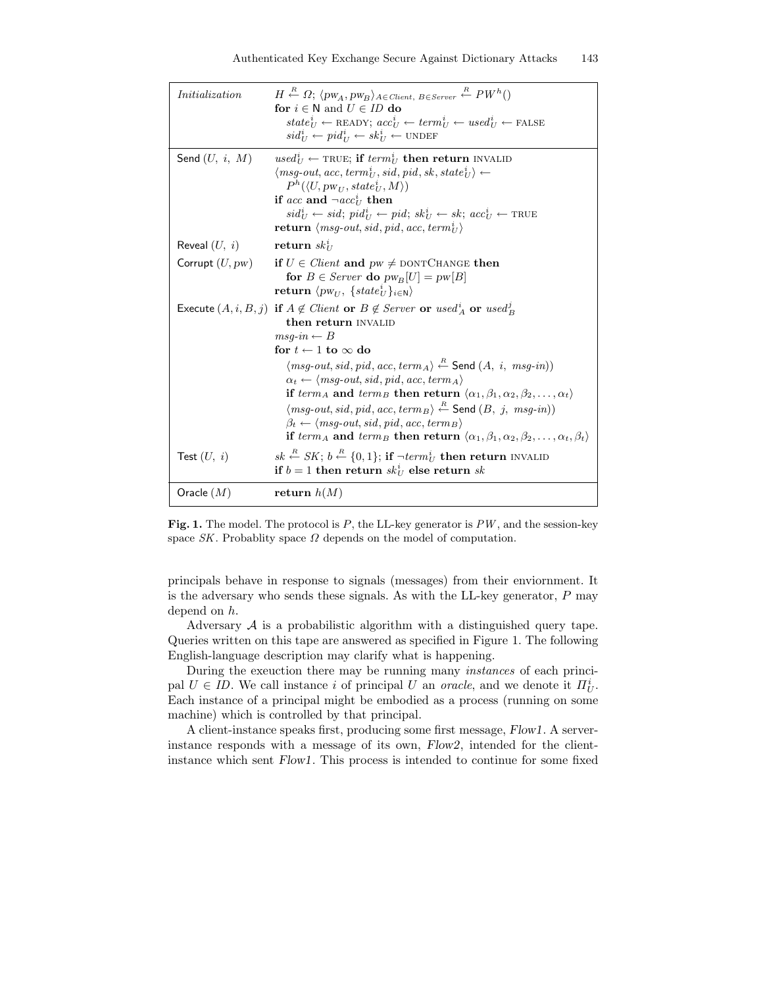| Initialization    | $H \stackrel{\kappa}{\leftarrow} \Omega$ ; $\langle pw_A, pw_B \rangle_{A \in Client, B \in Server} \stackrel{R}{\leftarrow} PW^h()$<br>for $i \in \mathbb{N}$ and $U \in ID$ do<br>$state^i_U \leftarrow \text{READY}; acc^i_U \leftarrow term^i_U \leftarrow used^i_U \leftarrow \text{FALSE}$<br>$sid_{II}^i \leftarrow pid_{II}^i \leftarrow sk_{II}^i \leftarrow \text{UNDEF}$                                                                                                                                                                                                                                              |
|-------------------|----------------------------------------------------------------------------------------------------------------------------------------------------------------------------------------------------------------------------------------------------------------------------------------------------------------------------------------------------------------------------------------------------------------------------------------------------------------------------------------------------------------------------------------------------------------------------------------------------------------------------------|
| Send $(U, i, M)$  | $used_U^i \leftarrow \text{TRUE};$ if $term_U^i$ then return INVALID<br>$\langle msg-out, acc, term_{U}^{i}, sid, pid, sk, state_{U}^{i} \rangle \leftarrow$<br>$P^h(\langle U, pw_{II}, state^i_{II}, M \rangle)$<br>if acc and $\neg acc^i_{tt}$ then<br>$sid^i_U \leftarrow sid; \ pid^i_U \leftarrow pid; \ sk^i_U \leftarrow sk; \ acc^i_U \leftarrow \text{TRUE}$<br><b>return</b> $\langle msg-out, sid, pid, acc, term_{II}^i \rangle$                                                                                                                                                                                   |
| Reveal $(U, i)$   | return $sk^i_U$                                                                                                                                                                                                                                                                                                                                                                                                                                                                                                                                                                                                                  |
| Corrupt $(U, pw)$ | if $U \in Client$ and $pw \neq$ DONTCHANGE then<br>for $B \in Server$ do $pw_B[U] = pw[B]$<br>return $\langle pw_{U}, \{ state_U^i \}_{i \in \mathbb{N}} \rangle$                                                                                                                                                                                                                                                                                                                                                                                                                                                                |
|                   | Execute $(A, i, B, j)$ if $A \notin Client$ or $B \notin Server$ or used <sup>i</sup> <sub>A</sub> or used <sup>i</sup> <sub>B</sub><br>then return INVALID<br>$msq\text{-}in \leftarrow B$<br>for $t \leftarrow 1$ to $\infty$ do                                                                                                                                                                                                                                                                                                                                                                                               |
|                   | $\langle msg-out, sid, pid, acc, term_A \rangle \stackrel{R}{\leftarrow}$ Send $(A, i, msg-in)$<br>$\alpha_t \leftarrow \langle msg-out, sid, pid, acc, term_A \rangle$<br>if term <sub>A</sub> and term <sub>B</sub> then return $\langle \alpha_1, \beta_1, \alpha_2, \beta_2, \ldots, \alpha_t \rangle$<br>$\langle msg-out, sid, pid, acc, term_B \rangle \stackrel{R}{\leftarrow}$ Send $(B, j, msg-in)$<br>$\beta_t \leftarrow \langle msg-out, sid, pid, acc, term_B \rangle$<br>if term <sub>A</sub> and term <sub>B</sub> then return $\langle \alpha_1, \beta_1, \alpha_2, \beta_2, \ldots, \alpha_t, \beta_t \rangle$ |
| Test $(U, i)$     | $sk \stackrel{R}{\leftarrow} SK$ ; $b \stackrel{R}{\leftarrow} \{0,1\}$ ; if $\neg term_U^i$ then return INVALID<br>if $b=1$ then return $sk_U^i$ else return $sk$                                                                                                                                                                                                                                                                                                                                                                                                                                                               |
| Oracle $(M)$      | return $h(M)$                                                                                                                                                                                                                                                                                                                                                                                                                                                                                                                                                                                                                    |

Fig. 1. The model. The protocol is  $P$ , the LL-key generator is  $PW$ , and the session-key space  $SK$ . Probablity space  $\Omega$  depends on the model of computation.

principals behave in response to signals (messages) from their enviornment. It is the adversary who sends these signals. As with the LL-key generator, P may depend on h.

Adversary  $A$  is a probabilistic algorithm with a distinguished query tape. Queries written on this tape are answered as specified in Figure 1. The following English-language description may clarify what is happening.

During the exeuction there may be running many instances of each principal  $U \in ID$ . We call instance i of principal U an *oracle*, and we denote it  $\Pi_U^i$ . Each instance of a principal might be embodied as a process (running on some machine) which is controlled by that principal.

A client-instance speaks first, producing some first message, Flow1. A serverinstance responds with a message of its own, Flow2, intended for the clientinstance which sent Flow1. This process is intended to continue for some fixed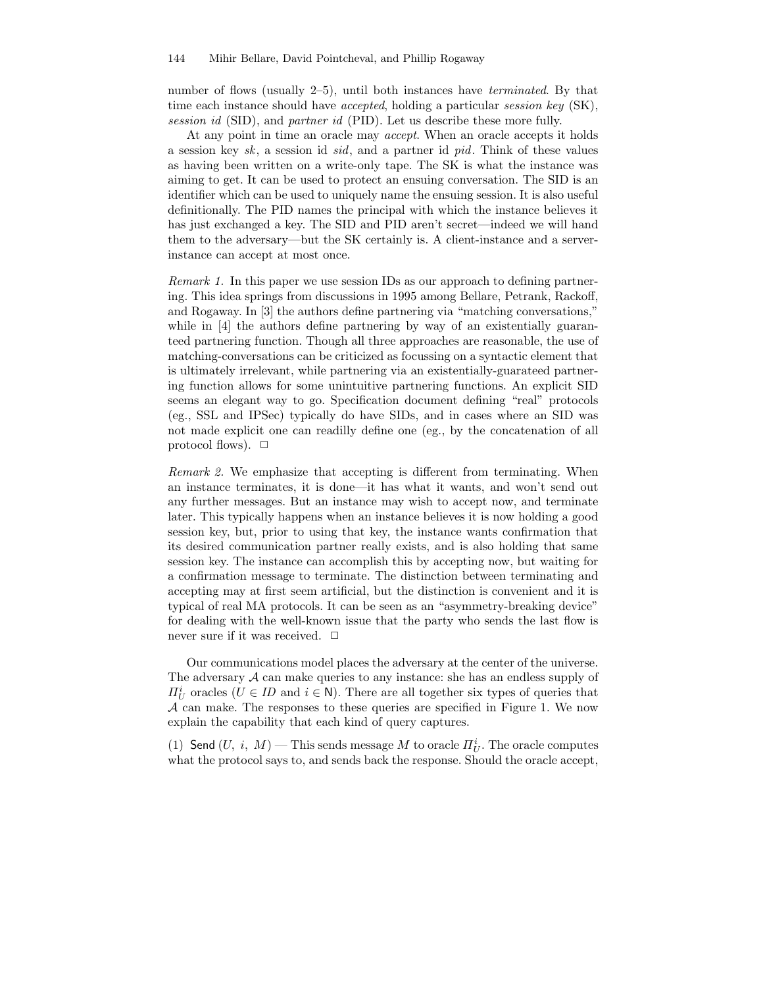number of flows (usually  $2-5$ ), until both instances have *terminated*. By that time each instance should have *accepted*, holding a particular session key (SK), session id (SID), and partner id (PID). Let us describe these more fully.

At any point in time an oracle may accept. When an oracle accepts it holds a session key sk, a session id sid, and a partner id pid. Think of these values as having been written on a write-only tape. The SK is what the instance was aiming to get. It can be used to protect an ensuing conversation. The SID is an identifier which can be used to uniquely name the ensuing session. It is also useful definitionally. The PID names the principal with which the instance believes it has just exchanged a key. The SID and PID aren't secret—indeed we will hand them to the adversary—but the SK certainly is. A client-instance and a serverinstance can accept at most once.

Remark 1. In this paper we use session IDs as our approach to defining partnering. This idea springs from discussions in 1995 among Bellare, Petrank, Rackoff, and Rogaway. In [3] the authors define partnering via "matching conversations," while in [4] the authors define partnering by way of an existentially guaranteed partnering function. Though all three approaches are reasonable, the use of matching-conversations can be criticized as focussing on a syntactic element that is ultimately irrelevant, while partnering via an existentially-guarateed partnering function allows for some unintuitive partnering functions. An explicit SID seems an elegant way to go. Specification document defining "real" protocols (eg., SSL and IPSec) typically do have SIDs, and in cases where an SID was not made explicit one can readilly define one (eg., by the concatenation of all protocol flows).  $\Box$ 

Remark 2. We emphasize that accepting is different from terminating. When an instance terminates, it is done—it has what it wants, and won't send out any further messages. But an instance may wish to accept now, and terminate later. This typically happens when an instance believes it is now holding a good session key, but, prior to using that key, the instance wants confirmation that its desired communication partner really exists, and is also holding that same session key. The instance can accomplish this by accepting now, but waiting for a confirmation message to terminate. The distinction between terminating and accepting may at first seem artificial, but the distinction is convenient and it is typical of real MA protocols. It can be seen as an "asymmetry-breaking device" for dealing with the well-known issue that the party who sends the last flow is never sure if it was received.  $\Box$ 

Our communications model places the adversary at the center of the universe. The adversary  $A$  can make queries to any instance: she has an endless supply of  $\Pi_U^i$  oracles  $(U \in ID$  and  $i \in \mathbb{N}$ ). There are all together six types of queries that  $\mathcal A$  can make. The responses to these queries are specified in Figure 1. We now explain the capability that each kind of query captures.

(1) Send  $(U, i, M)$  — This sends message  $M$  to oracle  $\Pi^i_U$ . The oracle computes what the protocol says to, and sends back the response. Should the oracle accept,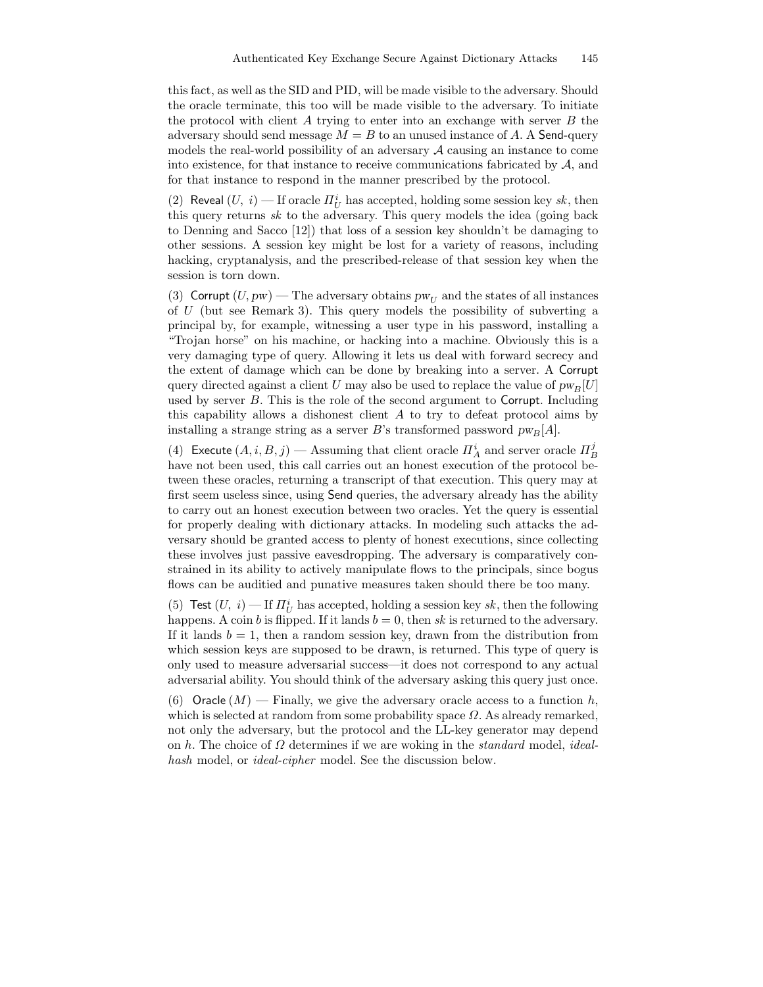this fact, as well as the SID and PID, will be made visible to the adversary. Should the oracle terminate, this too will be made visible to the adversary. To initiate the protocol with client A trying to enter into an exchange with server  $B$  the adversary should send message  $M = B$  to an unused instance of A. A Send-query models the real-world possibility of an adversary  $A$  causing an instance to come into existence, for that instance to receive communications fabricated by  $A$ , and for that instance to respond in the manner prescribed by the protocol.

(2) Reveal  $(U, i)$  — If oracle  $\Pi_U^i$  has accepted, holding some session key  $sk$ , then this query returns sk to the adversary. This query models the idea (going back to Denning and Sacco [12]) that loss of a session key shouldn't be damaging to other sessions. A session key might be lost for a variety of reasons, including hacking, cryptanalysis, and the prescribed-release of that session key when the session is torn down.

(3) Corrupt  $(U, pw)$  — The adversary obtains  $pw_{U}$  and the states of all instances of U (but see Remark 3). This query models the possibility of subverting a principal by, for example, witnessing a user type in his password, installing a "Trojan horse" on his machine, or hacking into a machine. Obviously this is a very damaging type of query. Allowing it lets us deal with forward secrecy and the extent of damage which can be done by breaking into a server. A Corrupt query directed against a client U may also be used to replace the value of  $pw_B[U]$ used by server B. This is the role of the second argument to Corrupt. Including this capability allows a dishonest client  $A$  to try to defeat protocol aims by installing a strange string as a server B's transformed password  $pw_B[A]$ .

(4) Execute  $(A, i, B, j)$  — Assuming that client oracle  $\prod_{A}^{i}$  and server oracle  $\prod_{B}^{j}$ have not been used, this call carries out an honest execution of the protocol between these oracles, returning a transcript of that execution. This query may at first seem useless since, using Send queries, the adversary already has the ability to carry out an honest execution between two oracles. Yet the query is essential for properly dealing with dictionary attacks. In modeling such attacks the adversary should be granted access to plenty of honest executions, since collecting these involves just passive eavesdropping. The adversary is comparatively constrained in its ability to actively manipulate flows to the principals, since bogus flows can be auditied and punative measures taken should there be too many.

(5) Test  $(U, i)$  — If  $\Pi_U^i$  has accepted, holding a session key sk, then the following happens. A coin b is flipped. If it lands  $b = 0$ , then sk is returned to the adversary. If it lands  $b = 1$ , then a random session key, drawn from the distribution from which session keys are supposed to be drawn, is returned. This type of query is only used to measure adversarial success—it does not correspond to any actual adversarial ability. You should think of the adversary asking this query just once.

(6) Oracle  $(M)$  — Finally, we give the adversary oracle access to a function h, which is selected at random from some probability space  $\Omega$ . As already remarked, not only the adversary, but the protocol and the LL-key generator may depend on h. The choice of  $\Omega$  determines if we are woking in the *standard* model, *ideal*hash model, or ideal-cipher model. See the discussion below.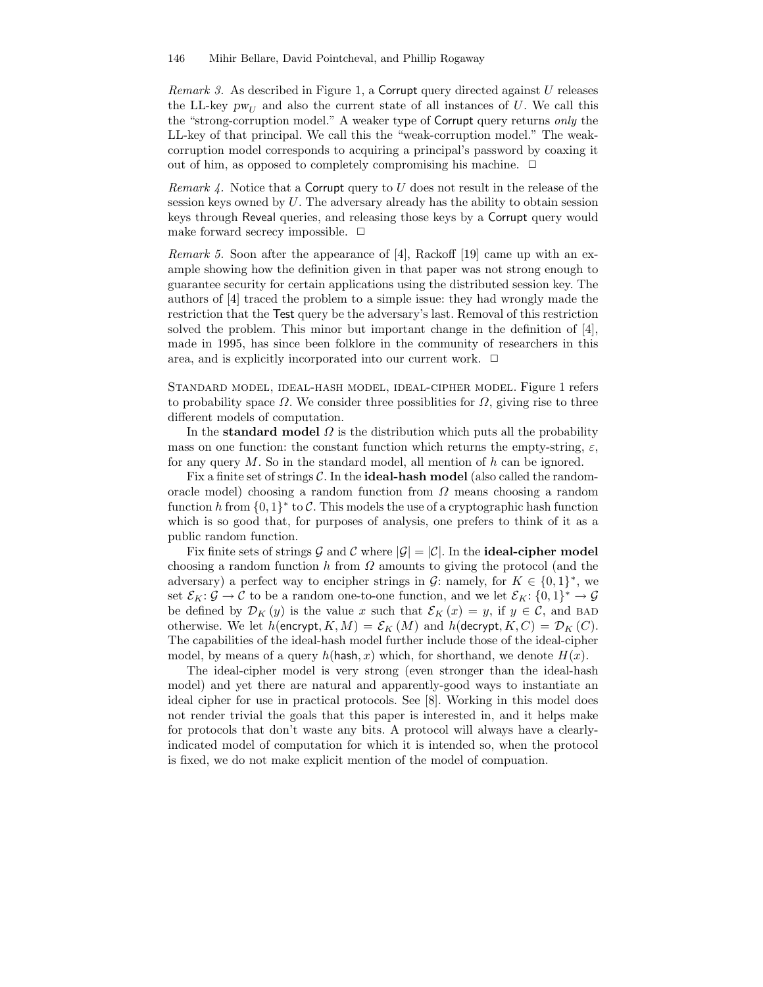*Remark 3.* As described in Figure 1, a Corrupt query directed against  $U$  releases the LL-key  $pw_{U}$  and also the current state of all instances of U. We call this the "strong-corruption model." A weaker type of Corrupt query returns only the LL-key of that principal. We call this the "weak-corruption model." The weakcorruption model corresponds to acquiring a principal's password by coaxing it out of him, as opposed to completely compromising his machine.  $\Box$ 

*Remark 4.* Notice that a Corrupt query to U does not result in the release of the session keys owned by U. The adversary already has the ability to obtain session keys through Reveal queries, and releasing those keys by a Corrupt query would make forward secrecy impossible.  $\Box$ 

Remark 5. Soon after the appearance of [4], Rackoff [19] came up with an example showing how the definition given in that paper was not strong enough to guarantee security for certain applications using the distributed session key. The authors of [4] traced the problem to a simple issue: they had wrongly made the restriction that the Test query be the adversary's last. Removal of this restriction solved the problem. This minor but important change in the definition of [4], made in 1995, has since been folklore in the community of researchers in this area, and is explicitly incorporated into our current work.  $\Box$ 

Standard model, ideal-hash model, ideal-cipher model. Figure 1 refers to probability space  $\Omega$ . We consider three possiblities for  $\Omega$ , giving rise to three different models of computation.

In the **standard model**  $\Omega$  is the distribution which puts all the probability mass on one function: the constant function which returns the empty-string,  $\varepsilon$ , for any query  $M$ . So in the standard model, all mention of  $h$  can be ignored.

Fix a finite set of strings  $C$ . In the **ideal-hash model** (also called the randomoracle model) choosing a random function from  $\Omega$  means choosing a random function h from  $\{0,1\}^*$  to C. This models the use of a cryptographic hash function which is so good that, for purposes of analysis, one prefers to think of it as a public random function.

Fix finite sets of strings G and C where  $|\mathcal{G}| = |\mathcal{C}|$ . In the **ideal-cipher model** choosing a random function h from  $\Omega$  amounts to giving the protocol (and the adversary) a perfect way to encipher strings in  $\mathcal{G}$ : namely, for  $K \in \{0,1\}^*$ , we set  $\mathcal{E}_K: \mathcal{G} \to \mathcal{C}$  to be a random one-to-one function, and we let  $\mathcal{E}_K: \{0,1\}^* \to \mathcal{G}$ be defined by  $\mathcal{D}_K(y)$  is the value x such that  $\mathcal{E}_K(x) = y$ , if  $y \in \mathcal{C}$ , and BAD otherwise. We let  $h$ (encrypt,  $K, M$ ) =  $\mathcal{E}_K (M)$  and  $h$ (decrypt,  $K, C$ ) =  $\mathcal{D}_K (C)$ . The capabilities of the ideal-hash model further include those of the ideal-cipher model, by means of a query  $h(\mathsf{hash}, x)$  which, for shorthand, we denote  $H(x)$ .

The ideal-cipher model is very strong (even stronger than the ideal-hash model) and yet there are natural and apparently-good ways to instantiate an ideal cipher for use in practical protocols. See [8]. Working in this model does not render trivial the goals that this paper is interested in, and it helps make for protocols that don't waste any bits. A protocol will always have a clearlyindicated model of computation for which it is intended so, when the protocol is fixed, we do not make explicit mention of the model of compuation.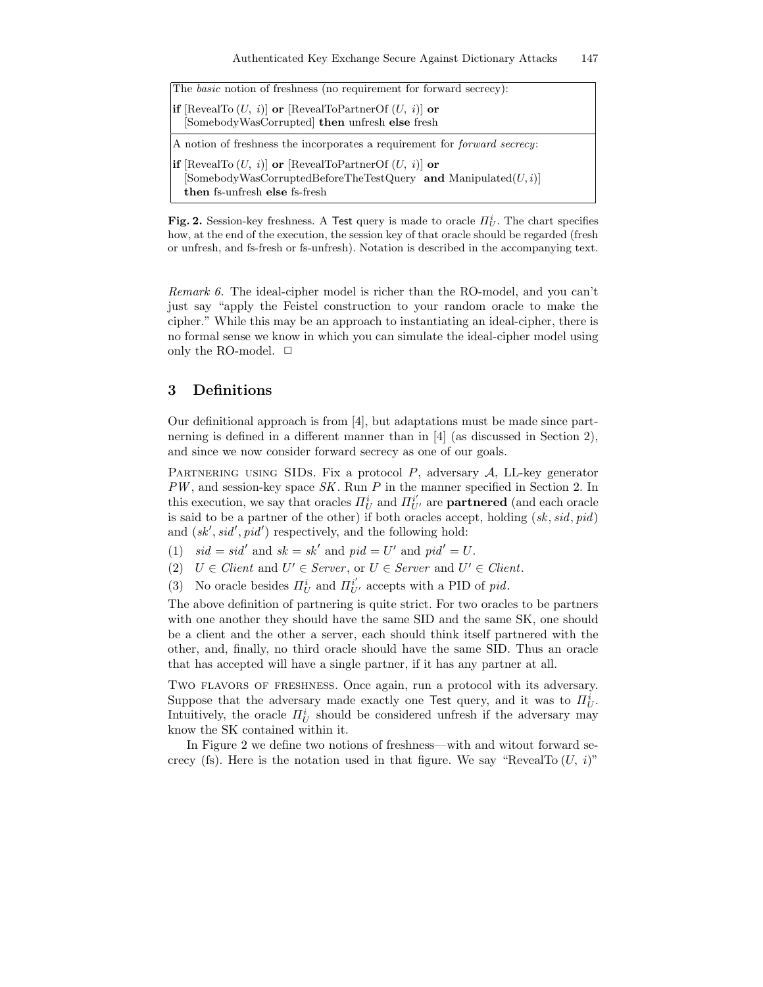| The <i>basic</i> notion of freshness (no requirement for forward secrecy):                                                                                                         |  |
|------------------------------------------------------------------------------------------------------------------------------------------------------------------------------------|--|
| <b>if</b> [RevealTo $(U, i)$ ] or [RevealToPartnerOf $(U, i)$ ] or<br>[SomebodyWasCorrupted] then unfresh else fresh                                                               |  |
| A notion of freshness the incorporates a requirement for <i>forward secrecy</i> :                                                                                                  |  |
| <b>if</b> [RevealTo $(U, i)$ ] or [RevealToPartnerOf $(U, i)$ ] or<br>$[Somebody WasCorruptedBeforeTheTestQuery \textbf{and} Manipulated (U, i)]$<br>then fs-unfresh else fs-fresh |  |

Fig. 2. Session-key freshness. A Test query is made to oracle  $\Pi_U^i$ . The chart specifies how, at the end of the execution, the session key of that oracle should be regarded (fresh or unfresh, and fs-fresh or fs-unfresh). Notation is described in the accompanying text.

Remark 6. The ideal-cipher model is richer than the RO-model, and you can't just say "apply the Feistel construction to your random oracle to make the cipher." While this may be an approach to instantiating an ideal-cipher, there is no formal sense we know in which you can simulate the ideal-cipher model using only the RO-model.  $\Box$ 

# 3 Definitions

Our definitional approach is from [4], but adaptations must be made since partnerning is defined in a different manner than in [4] (as discussed in Section 2), and since we now consider forward secrecy as one of our goals.

PARTNERING USING SIDS. Fix a protocol  $P$ , adversary  $A$ , LL-key generator PW, and session-key space SK. Run P in the manner specified in Section 2. In this execution, we say that oracles  $\Pi_U^i$  and  $\Pi_{U'}^{i'}$  are **partnered** (and each oracle is said to be a partner of the other) if both oracles accept, holding  $(sk, sid, pid)$ and  $(sk', sid', pid')$  respectively, and the following hold:

- (1)  $sid = sid'$  and  $sk = sk'$  and  $pid = U'$  and  $pid' = U$ .
- (2)  $U \in Client$  and  $U' \in Server$ , or  $U \in Server$  and  $U' \in Client$ .
- (3) No oracle besides  $\Pi_U^i$  and  $\Pi_{U'}^{i'}$  accepts with a PID of pid.

The above definition of partnering is quite strict. For two oracles to be partners with one another they should have the same SID and the same SK, one should be a client and the other a server, each should think itself partnered with the other, and, finally, no third oracle should have the same SID. Thus an oracle that has accepted will have a single partner, if it has any partner at all.

Two flavors of freshness. Once again, run a protocol with its adversary. Suppose that the adversary made exactly one Test query, and it was to  $\Pi_U^i$ . Intuitively, the oracle  $\Pi_U^i$  should be considered unfresh if the adversary may know the SK contained within it.

In Figure 2 we define two notions of freshness—with and witout forward secrecy (fs). Here is the notation used in that figure. We say "RevealTo  $(U, i)$ "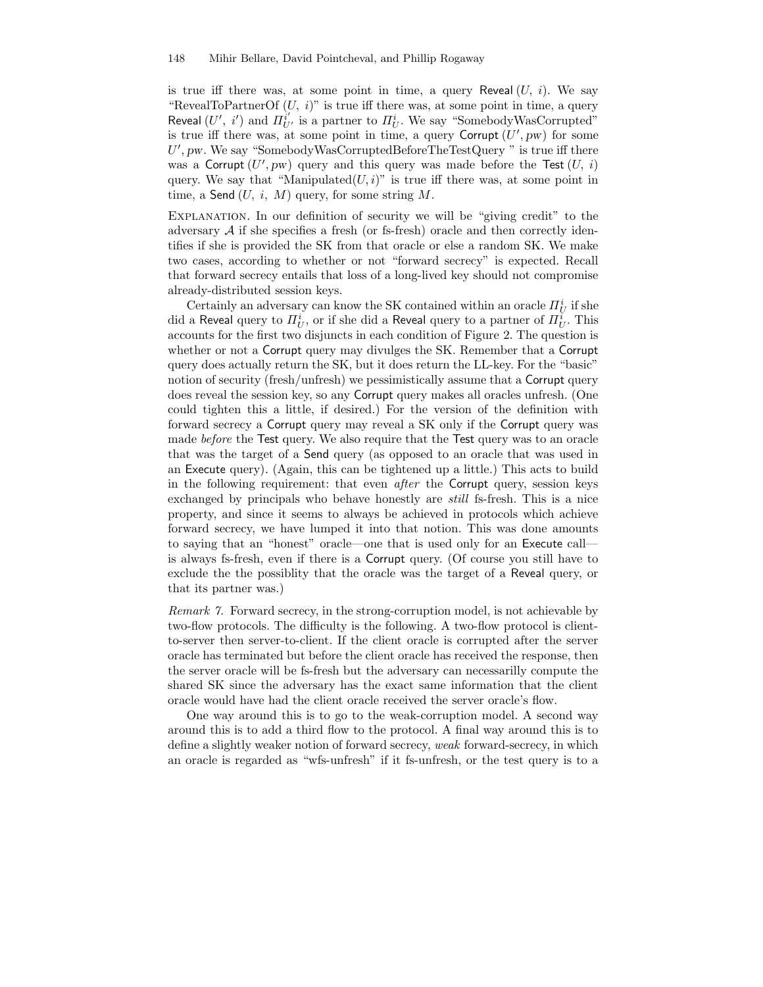is true iff there was, at some point in time, a query Reveal  $(U, i)$ . We say "RevealToPartnerOf  $(U, i)$ " is true iff there was, at some point in time, a query Reveal  $(U', i')$  and  $\Pi_{U'}^{i'}$  is a partner to  $\Pi_U^i$ . We say "SomebodyWasCorrupted" is true iff there was, at some point in time, a query Corrupt  $(U', pw)$  for some  $U'$ , pw. We say "SomebodyWasCorruptedBeforeTheTestQuery" is true iff there was a Corrupt  $(U', pw)$  query and this query was made before the Test  $(U, i)$ query. We say that "Manipulated $(U,i)$ " is true iff there was, at some point in time, a Send  $(U, i, M)$  query, for some string M.

Explanation. In our definition of security we will be "giving credit" to the adversary  $A$  if she specifies a fresh (or fs-fresh) oracle and then correctly identifies if she is provided the SK from that oracle or else a random SK. We make two cases, according to whether or not "forward secrecy" is expected. Recall that forward secrecy entails that loss of a long-lived key should not compromise already-distributed session keys.

Certainly an adversary can know the SK contained within an oracle  $\Pi_U^i$  if she did a Reveal query to  $\Pi^i_U$ , or if she did a Reveal query to a partner of  $\Pi^i_U.$  This accounts for the first two disjuncts in each condition of Figure 2. The question is whether or not a Corrupt query may divulges the SK. Remember that a Corrupt query does actually return the SK, but it does return the LL-key. For the "basic" notion of security (fresh/unfresh) we pessimistically assume that a Corrupt query does reveal the session key, so any Corrupt query makes all oracles unfresh. (One could tighten this a little, if desired.) For the version of the definition with forward secrecy a Corrupt query may reveal a SK only if the Corrupt query was made before the Test query. We also require that the Test query was to an oracle that was the target of a Send query (as opposed to an oracle that was used in an Execute query). (Again, this can be tightened up a little.) This acts to build in the following requirement: that even *after* the Corrupt query, session keys exchanged by principals who behave honestly are *still* fs-fresh. This is a nice property, and since it seems to always be achieved in protocols which achieve forward secrecy, we have lumped it into that notion. This was done amounts to saying that an "honest" oracle—one that is used only for an Execute call is always fs-fresh, even if there is a Corrupt query. (Of course you still have to exclude the the possiblity that the oracle was the target of a Reveal query, or that its partner was.)

Remark 7. Forward secrecy, in the strong-corruption model, is not achievable by two-flow protocols. The difficulty is the following. A two-flow protocol is clientto-server then server-to-client. If the client oracle is corrupted after the server oracle has terminated but before the client oracle has received the response, then the server oracle will be fs-fresh but the adversary can necessarilly compute the shared SK since the adversary has the exact same information that the client oracle would have had the client oracle received the server oracle's flow.

One way around this is to go to the weak-corruption model. A second way around this is to add a third flow to the protocol. A final way around this is to define a slightly weaker notion of forward secrecy, weak forward-secrecy, in which an oracle is regarded as "wfs-unfresh" if it fs-unfresh, or the test query is to a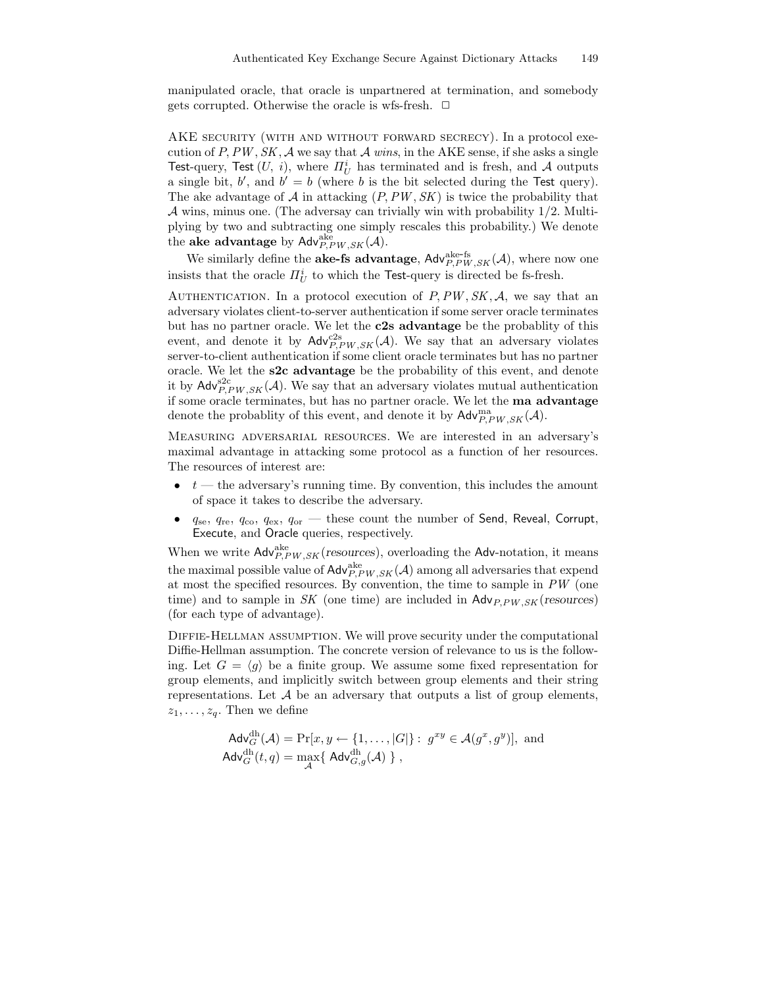manipulated oracle, that oracle is unpartnered at termination, and somebody gets corrupted. Otherwise the oracle is wfs-fresh.  $\Box$ 

AKE SECURITY (WITH AND WITHOUT FORWARD SECRECY). In a protocol execution of  $P, PW, SK, A$  we say that A wins, in the AKE sense, if she asks a single Test-query, Test  $(U, i)$ , where  $\Pi_U^i$  has terminated and is fresh, and A outputs a single bit,  $b'$ , and  $b' = b$  (where b is the bit selected during the Test query). The ake advantage of  $A$  in attacking  $(P, PW, SK)$  is twice the probability that  $A$  wins, minus one. (The adversay can trivially win with probability  $1/2$ . Multiplying by two and subtracting one simply rescales this probability.) We denote the ake advantage by  $\mathsf{Adv}_{P,PW,SK}^{\text{ake}}(\mathcal{A})$ .

We similarly define the **ake-fs advantage**,  $\mathsf{Adv}_{P,PW,SK}^{ake\text{-}fs}(\mathcal{A})$ , where now one insists that the oracle  $\Pi^i_U$  to which the Test-query is directed be fs-fresh.

AUTHENTICATION. In a protocol execution of  $P, PW, SK, A$ , we say that an adversary violates client-to-server authentication if some server oracle terminates but has no partner oracle. We let the c2s advantage be the probablity of this event, and denote it by  $\mathsf{Adv}_{P,PW,SK}^{2s}(\mathcal{A})$ . We say that an adversary violates server-to-client authentication if some client oracle terminates but has no partner oracle. We let the s2c advantage be the probability of this event, and denote it by  $\mathsf{Adv}_{P,PW,SK}^{32c}(\mathcal{A})$ . We say that an adversary violates mutual authentication if some oracle terminates, but has no partner oracle. We let the ma advantage denote the probablity of this event, and denote it by  $\mathsf{Adv}_{P,PW,SK}^{\text{ma}}(\mathcal{A})$ .

Measuring adversarial resources. We are interested in an adversary's maximal advantage in attacking some protocol as a function of her resources. The resources of interest are:

- $t$  the adversary's running time. By convention, this includes the amount of space it takes to describe the adversary.
- $q_{\rm se}, q_{\rm re}, q_{\rm co}, q_{\rm ex}, q_{\rm or}$  these count the number of Send, Reveal, Corrupt, Execute, and Oracle queries, respectively.

When we write  $\mathsf{Adv}_{P,PW,SK}^{\text{ake}}(\text{resources})$ , overloading the Adv-notation, it means the maximal possible value of  $\mathsf{Adv}_{P,PW,SK}^{\mathrm{ake}}(\mathcal{A})$  among all adversaries that expend at most the specified resources. By convention, the time to sample in PW (one time) and to sample in SK (one time) are included in  $\mathsf{Adv}_{P,PW,SK}$  (resources) (for each type of advantage).

Diffie-Hellman assumption. We will prove security under the computational Diffie-Hellman assumption. The concrete version of relevance to us is the following. Let  $G = \langle g \rangle$  be a finite group. We assume some fixed representation for group elements, and implicitly switch between group elements and their string representations. Let  $A$  be an adversary that outputs a list of group elements,  $z_1, \ldots, z_q$ . Then we define

$$
\mathsf{Adv}_{G}^{\mathrm{dh}}(\mathcal{A}) = \Pr[x, y \leftarrow \{1, \dots, |G|\} : g^{xy} \in \mathcal{A}(g^x, g^y)], \text{ and}
$$

$$
\mathsf{Adv}_{G}^{\mathrm{dh}}(t, q) = \max_{\mathcal{A}} \{ \mathrm{Adv}_{G, g}^{\mathrm{dh}}(\mathcal{A}) \} ,
$$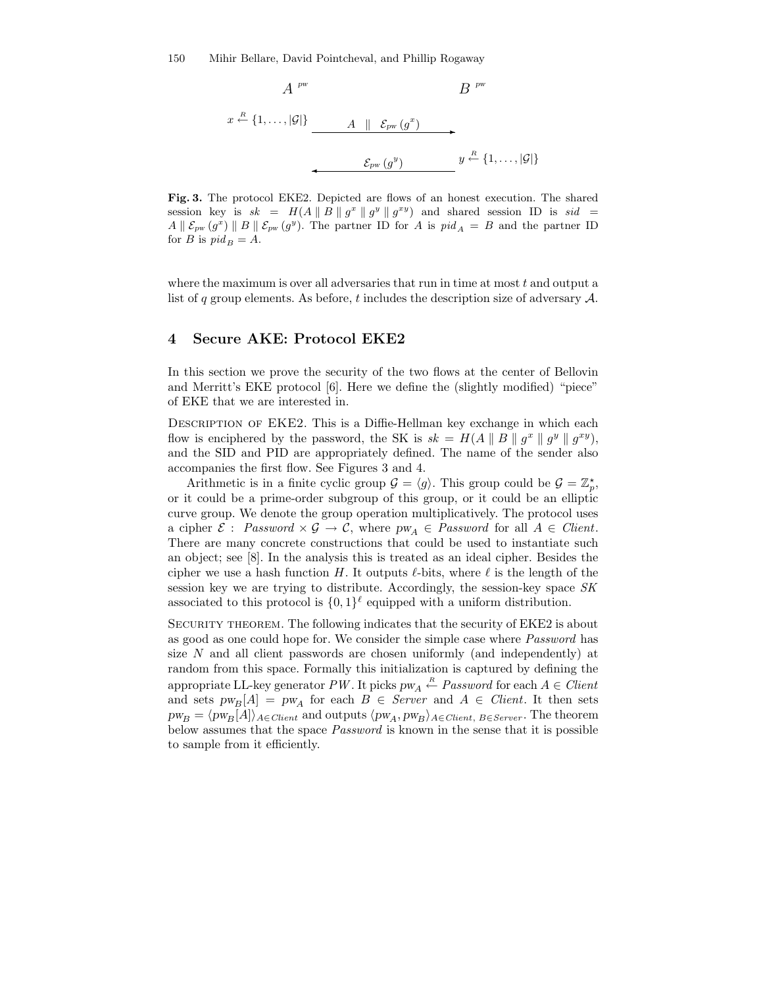150 Mihir Bellare, David Pointcheval, and Phillip Rogaway

$$
A^{pw} \qquad B^{pw}
$$
\n
$$
x \stackrel{R}{\leftarrow} \{1, \ldots, |\mathcal{G}|\} \qquad A \parallel \mathcal{E}_{pw}(g^x) \longrightarrow
$$
\n
$$
\mathcal{E}_{pw}(g^y) \qquad y \stackrel{R}{\leftarrow} \{1, \ldots, |\mathcal{G}|\}
$$

Fig. 3. The protocol EKE2. Depicted are flows of an honest execution. The shared session key is  $sk = H(A \parallel B \parallel g^x \parallel g^y \parallel g^{xy})$  and shared session ID is  $sid =$  $A \parallel \mathcal{E}_{pw} (g^x) \parallel B \parallel \mathcal{E}_{pw} (g^y)$ . The partner ID for A is  $pid_A = B$  and the partner ID for B is  $pid_B = A$ .

where the maximum is over all adversaries that run in time at most  $t$  and output a list of q group elements. As before, t includes the description size of adversary  $\mathcal{A}$ .

### 4 Secure AKE: Protocol EKE2

In this section we prove the security of the two flows at the center of Bellovin and Merritt's EKE protocol [6]. Here we define the (slightly modified) "piece" of EKE that we are interested in.

DESCRIPTION OF EKE2. This is a Diffie-Hellman key exchange in which each flow is enciphered by the password, the SK is  $sk = H(A \parallel B \parallel g^x \parallel g^y \parallel g^{xy}),$ and the SID and PID are appropriately defined. The name of the sender also accompanies the first flow. See Figures 3 and 4.

Arithmetic is in a finite cyclic group  $\mathcal{G} = \langle g \rangle$ . This group could be  $\mathcal{G} = \mathbb{Z}_p^*$ , or it could be a prime-order subgroup of this group, or it could be an elliptic curve group. We denote the group operation multiplicatively. The protocol uses a cipher  $\mathcal{E}$ : Password  $\times \mathcal{G} \to \mathcal{C}$ , where  $pw_A \in$  Password for all  $A \in$  Client. There are many concrete constructions that could be used to instantiate such an object; see [8]. In the analysis this is treated as an ideal cipher. Besides the cipher we use a hash function H. It outputs  $\ell$ -bits, where  $\ell$  is the length of the session key we are trying to distribute. Accordingly, the session-key space SK associated to this protocol is  $\{0,1\}^{\ell}$  equipped with a uniform distribution.

SECURITY THEOREM. The following indicates that the security of EKE2 is about as good as one could hope for. We consider the simple case where Password has size N and all client passwords are chosen uniformly (and independently) at random from this space. Formally this initialization is captured by defining the appropriate LL-key generator PW. It picks  $pw_A \stackrel{R}{\leftarrow} Password$  for each  $A \in Client$ and sets  $pw_B[A] = pw_A$  for each  $B \in Server$  and  $A \in Client$ . It then sets  $pw_B = \langle pw_B[A]\rangle_{A\in Client}$  and outputs  $\langle pw_A, pw_B\rangle_{A\in Client, B\in Server}$ . The theorem below assumes that the space Password is known in the sense that it is possible to sample from it efficiently.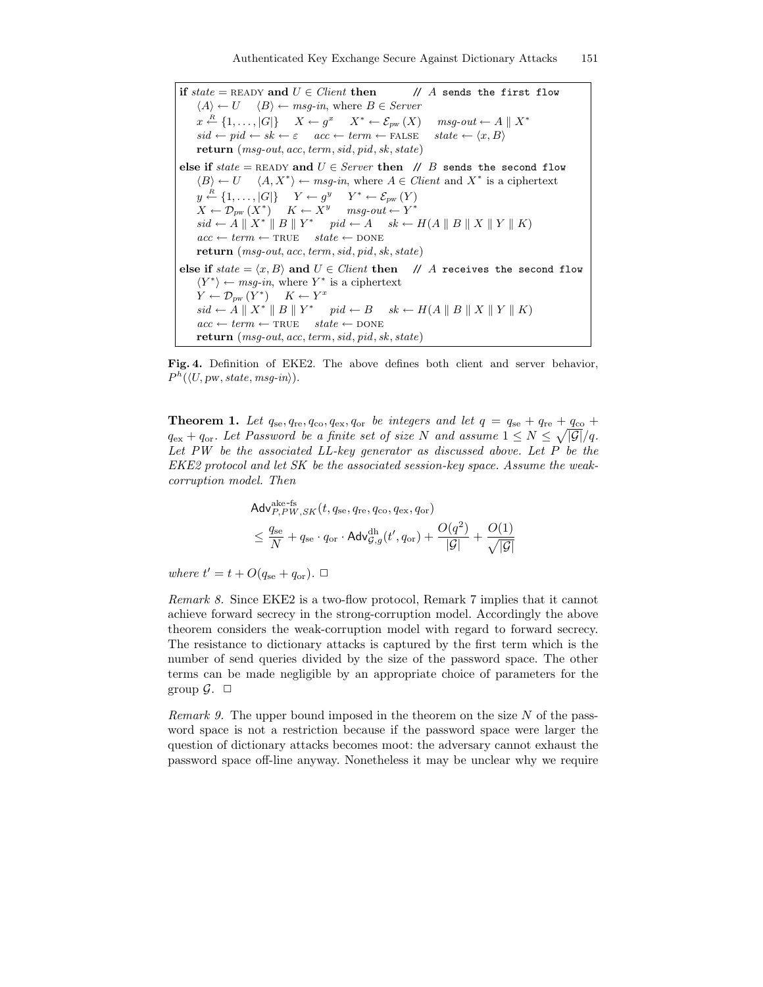if state = READY and  $U \in Client$  then // A sends the first flow  $\langle A \rangle \leftarrow U \langle B \rangle \leftarrow msg\text{-}in$ , where  $B \in Server$  $x \stackrel{R}{\leftarrow} \{1, \ldots, |G|\} \quad X \leftarrow g^x \quad X$ \* ←  $\mathcal{E}_{pw}(X)$  msg-out ←  $A \parallel X^*$  $sid \leftarrow pid \leftarrow sk \leftarrow \varepsilon \quad acc \leftarrow term \leftarrow \text{FALSE} \quad state \leftarrow \langle x, B \rangle$ return (msg-out, acc, term, sid, pid, sk, state) else if  $state =$  READY and  $U \in Server$  then  $//$  B sends the second flow  $\langle B \rangle \leftarrow U \quad \langle A, X^* \rangle \leftarrow msg\text{-}in$ , where  $A \in Client$  and  $X^*$  is a ciphertext  $y \stackrel{R}{\leftarrow} \{1, \ldots, |G|\} \quad Y \leftarrow g^y \quad Y^* \leftarrow \mathcal{E}_{pw}(Y)$  $X \leftarrow \mathcal{D}_{pw}(X^*) \quad K \leftarrow X^y \quad msg-out \leftarrow Y^*$  $sid \leftarrow A \parallel X^* \parallel B \parallel Y^* \quad pid \leftarrow A \quad sk \leftarrow H(A \parallel B \parallel X \parallel Y \parallel K)$  $\mathit{acc} \gets \mathit{term} \gets \textsc{TRUE} \quad \mathit{state} \gets \textsc{DONE}$ return (msg-out, acc, term, sid, pid, sk, state) else if state =  $\langle x, B \rangle$  and  $U \in Client$  then // A receives the second flow  $\langle Y^* \rangle \leftarrow msg\text{-}in$ , where  $Y^*$  is a ciphertext  $Y \leftarrow \mathcal{D}_{pw}(Y^*) \quad K \leftarrow Y^x$  $sid \leftarrow A \parallel X^* \parallel B \parallel Y^*$  $pid \leftarrow B \quad sk \leftarrow H(A \parallel B \parallel X \parallel Y \parallel K)$  $\mathit{acc} \gets \mathit{term} \gets \textsc{TRUE} \quad \mathit{state} \gets \textsc{DONE}$ return (msg-out, acc, term, sid, pid, sk, state)

Fig. 4. Definition of EKE2. The above defines both client and server behavior,  $P^{h}(\langle U, pw, state, msg\text{-}in \rangle).$ 

**Theorem 1.** Let  $q_{\rm se}, q_{\rm re}, q_{\rm co}, q_{\rm ex}, q_{\rm or}$  be integers and let  $q = q_{\rm se} + q_{\rm re} + q_{\rm co} +$  $q_{\text{ex}} + q_{\text{or}}$ . Let Password be a finite set of size N and assume  $1 \leq N \leq \sqrt{|\mathcal{G}|}/q$ . Let PW be the associated LL-key generator as discussed above. Let P be the EKE2 protocol and let SK be the associated session-key space. Assume the weakcorruption model. Then

$$
\begin{aligned} &\mathsf{Adv}_{P,PW,SK}^{\mathrm{ake}\text{-}fs}(t,q_{\mathrm{se}},q_{\mathrm{re}},q_{\mathrm{co}},q_{\mathrm{ex}},q_{\mathrm{or}})\\ &\leq \frac{q_{\mathrm{se}}}{N}+q_{\mathrm{se}}\cdot q_{\mathrm{or}}\cdot\mathsf{Adv}_{\mathcal{G},g}^{\mathrm{dh}}(t',q_{\mathrm{or}})+\frac{O(q^2)}{|\mathcal{G}|}+\frac{O(1)}{\sqrt{|\mathcal{G}|}} \end{aligned}
$$

where  $t' = t + O(q_{\text{se}} + q_{\text{or}})$ .  $\Box$ 

Remark 8. Since EKE2 is a two-flow protocol, Remark 7 implies that it cannot achieve forward secrecy in the strong-corruption model. Accordingly the above theorem considers the weak-corruption model with regard to forward secrecy. The resistance to dictionary attacks is captured by the first term which is the number of send queries divided by the size of the password space. The other terms can be made negligible by an appropriate choice of parameters for the group  $\mathcal{G}$ .  $\Box$ 

*Remark 9.* The upper bound imposed in the theorem on the size  $N$  of the password space is not a restriction because if the password space were larger the question of dictionary attacks becomes moot: the adversary cannot exhaust the password space off-line anyway. Nonetheless it may be unclear why we require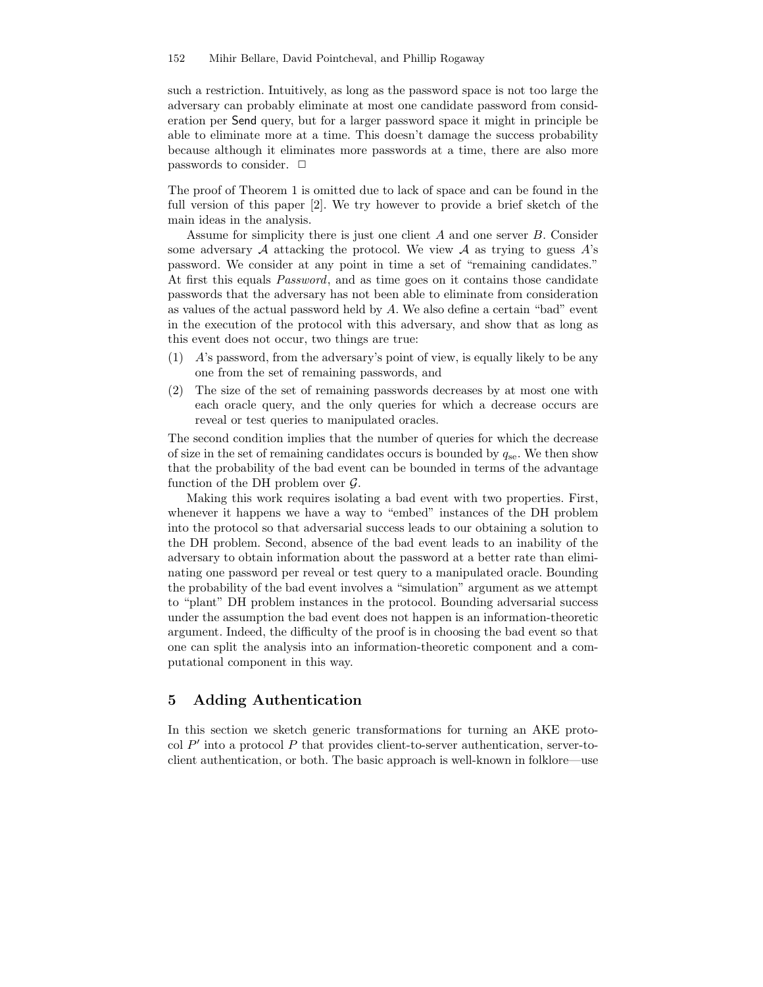such a restriction. Intuitively, as long as the password space is not too large the adversary can probably eliminate at most one candidate password from consideration per Send query, but for a larger password space it might in principle be able to eliminate more at a time. This doesn't damage the success probability because although it eliminates more passwords at a time, there are also more passwords to consider.  $\Box$ 

The proof of Theorem 1 is omitted due to lack of space and can be found in the full version of this paper [2]. We try however to provide a brief sketch of the main ideas in the analysis.

Assume for simplicity there is just one client A and one server B. Consider some adversary  $A$  attacking the protocol. We view  $A$  as trying to guess  $A$ 's password. We consider at any point in time a set of "remaining candidates." At first this equals Password, and as time goes on it contains those candidate passwords that the adversary has not been able to eliminate from consideration as values of the actual password held by A. We also define a certain "bad" event in the execution of the protocol with this adversary, and show that as long as this event does not occur, two things are true:

- (1) A's password, from the adversary's point of view, is equally likely to be any one from the set of remaining passwords, and
- (2) The size of the set of remaining passwords decreases by at most one with each oracle query, and the only queries for which a decrease occurs are reveal or test queries to manipulated oracles.

The second condition implies that the number of queries for which the decrease of size in the set of remaining candidates occurs is bounded by  $q_{\text{se}}$ . We then show that the probability of the bad event can be bounded in terms of the advantage function of the DH problem over  $\mathcal{G}$ .

Making this work requires isolating a bad event with two properties. First, whenever it happens we have a way to "embed" instances of the DH problem into the protocol so that adversarial success leads to our obtaining a solution to the DH problem. Second, absence of the bad event leads to an inability of the adversary to obtain information about the password at a better rate than eliminating one password per reveal or test query to a manipulated oracle. Bounding the probability of the bad event involves a "simulation" argument as we attempt to "plant" DH problem instances in the protocol. Bounding adversarial success under the assumption the bad event does not happen is an information-theoretic argument. Indeed, the difficulty of the proof is in choosing the bad event so that one can split the analysis into an information-theoretic component and a computational component in this way.

# 5 Adding Authentication

In this section we sketch generic transformations for turning an AKE protocol  $P'$  into a protocol  $P$  that provides client-to-server authentication, server-toclient authentication, or both. The basic approach is well-known in folklore—use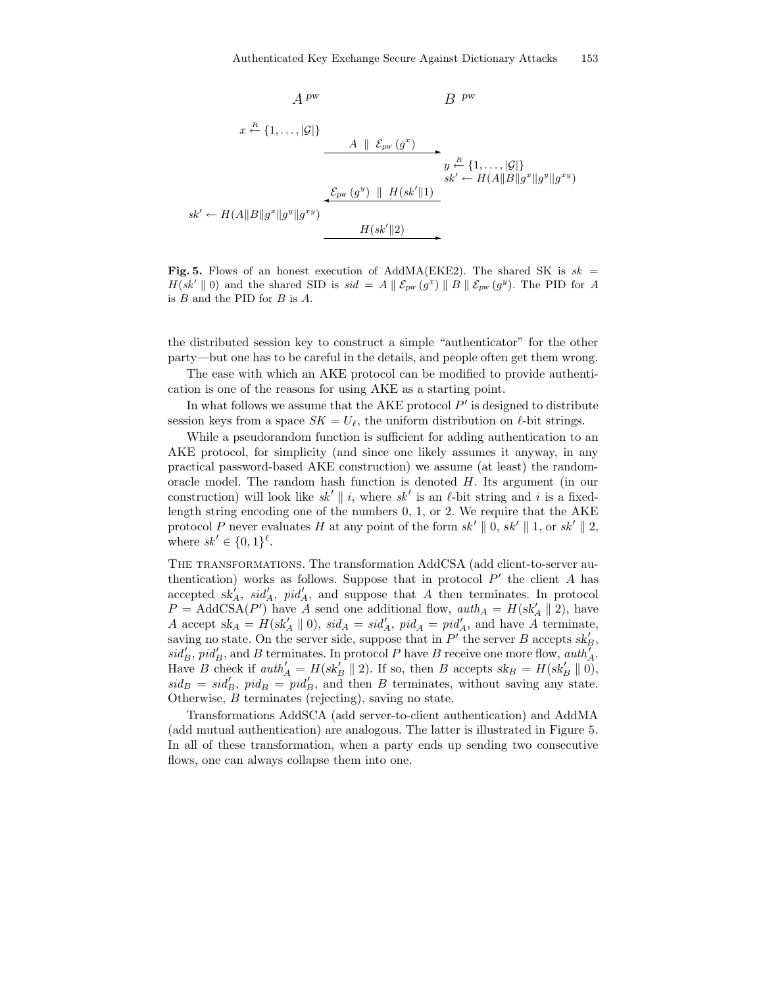$$
A^{pw} \qquad \qquad B^{pw}
$$

$$
x \stackrel{R}{\leftarrow} \{1, \ldots, |\mathcal{G}|\}
$$
\n
$$
A \parallel \mathcal{E}_{pw}(g^x)
$$
\n
$$
y \stackrel{R}{\leftarrow} \{1, \ldots, |\mathcal{G}|\}
$$
\n
$$
sk' \leftarrow H(A||B||g^x||g^y||g^{xy})
$$
\n
$$
H-sk'||1)
$$
\n
$$
H(sk'||2)
$$

Fig. 5. Flows of an honest execution of AddMA(EKE2). The shared SK is  $sk =$  $H(sk' \parallel 0)$  and the shared SID is  $sid = A \parallel \mathcal{E}_{pw} (g^x) \parallel B \parallel \mathcal{E}_{pw} (g^y)$ . The PID for A is B and the PID for B is A.

the distributed session key to construct a simple "authenticator" for the other party—but one has to be careful in the details, and people often get them wrong.

The ease with which an AKE protocol can be modified to provide authentication is one of the reasons for using AKE as a starting point.

In what follows we assume that the AKE protocol  $P'$  is designed to distribute session keys from a space  $SK = U_{\ell}$ , the uniform distribution on  $\ell$ -bit strings.

While a pseudorandom function is sufficient for adding authentication to an AKE protocol, for simplicity (and since one likely assumes it anyway, in any practical password-based AKE construction) we assume (at least) the randomoracle model. The random hash function is denoted  $H$ . Its argument (in our construction) will look like  $sk' \parallel i$ , where  $sk'$  is an  $\ell$ -bit string and i is a fixedlength string encoding one of the numbers 0, 1, or 2. We require that the AKE protocol P never evaluates H at any point of the form  $sk' \parallel 0, sk' \parallel 1$ , or  $sk' \parallel 2$ , where  $sk' \in \{0,1\}^{\ell}$ .

The transformations. The transformation AddCSA (add client-to-server authentication) works as follows. Suppose that in protocol  $P'$  the client A has accepted  $sk'_A$ ,  $sid'_A$ ,  $pid'_A$ , and suppose that A then terminates. In protocol  $P = \text{AddCSA}(P')$  have A send one additional flow,  $auth_A = H(sk'_A || 2)$ , have A accept  $sk_A = H(sk'_A \parallel 0)$ ,  $sid_A = sid'_A$ ,  $pid_A = pid'_A$ , and have A terminate, saving no state. On the server side, suppose that in  $P'$  the server B accepts  $sk_B'$ ,  $sid'_B, pid'_B$ , and B terminates. In protocol P have B receive one more flow,  $auth'_A$ . Have B check if  $auth'_A = H(s k'_B || 2)$ . If so, then B accepts  $sk_B = H(s k'_B || 0)$ ,  $sid_B = sid'_B$ ,  $pid_B = pid'_B$ , and then B terminates, without saving any state. Otherwise, B terminates (rejecting), saving no state.

Transformations AddSCA (add server-to-client authentication) and AddMA (add mutual authentication) are analogous. The latter is illustrated in Figure 5. In all of these transformation, when a party ends up sending two consecutive flows, one can always collapse them into one.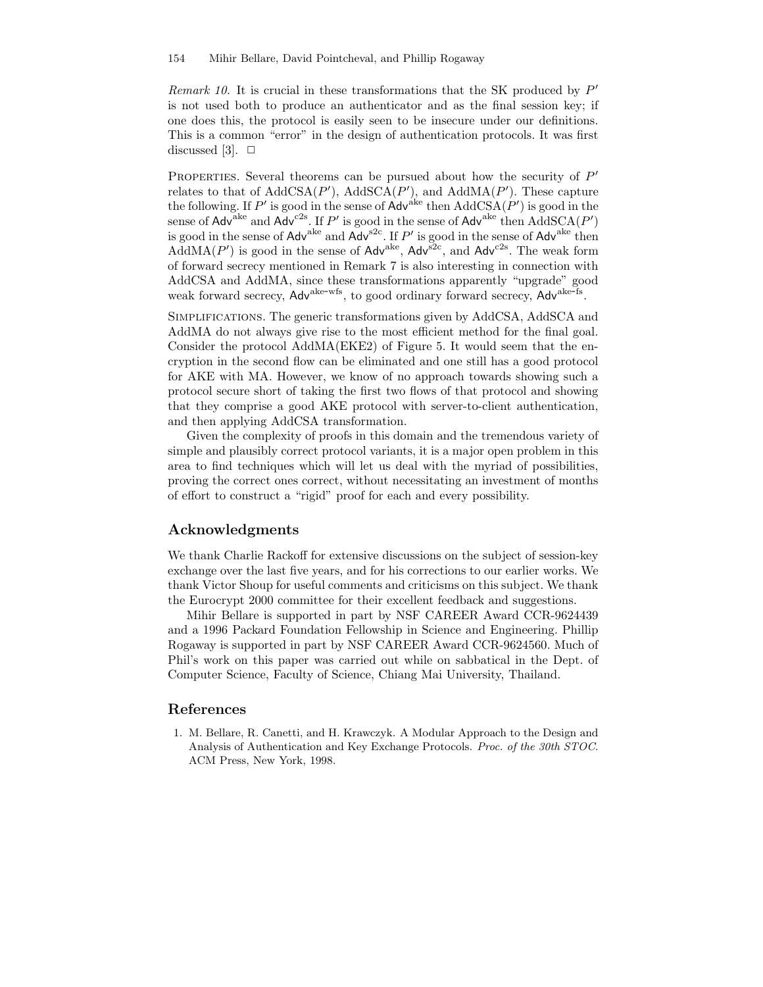Remark 10. It is crucial in these transformations that the SK produced by  $P'$ is not used both to produce an authenticator and as the final session key; if one does this, the protocol is easily seen to be insecure under our definitions. This is a common "error" in the design of authentication protocols. It was first discussed [3].  $\Box$ 

PROPERTIES. Several theorems can be pursued about how the security of  $P'$ relates to that of  $AddCSA(P')$ ,  $AddSCA(P')$ , and  $AddMA(P')$ . These capture the following. If  $P'$  is good in the sense of  $\text{Adv}^{\text{ake}}$  then  $\text{AddCSA}(P')$  is good in the sense of Adv<sup>ake</sup> and Adv<sup>c2s</sup>. If P' is good in the sense of Adv<sup>ake</sup> then AddSCA(P') is good in the sense of  $\text{Adv}^{\text{ake}}$  and  $\text{Adv}^{\text{32c}}$ . If  $P'$  is good in the sense of  $\text{Adv}^{\text{ake}}$  then  $AddMA(P')$  is good in the sense of  $Adv<sup>ake</sup>$ ,  $Adv<sup>szc</sup>$ , and  $Adv<sup>c2s</sup>$ . The weak form of forward secrecy mentioned in Remark 7 is also interesting in connection with AddCSA and AddMA, since these transformations apparently "upgrade" good weak forward secrecy,  $Adv<sup>ake-wfs</sup>$ , to good ordinary forward secrecy,  $Adv<sup>ake-fs</sup>$ .

Simplifications. The generic transformations given by AddCSA, AddSCA and AddMA do not always give rise to the most efficient method for the final goal. Consider the protocol AddMA(EKE2) of Figure 5. It would seem that the encryption in the second flow can be eliminated and one still has a good protocol for AKE with MA. However, we know of no approach towards showing such a protocol secure short of taking the first two flows of that protocol and showing that they comprise a good AKE protocol with server-to-client authentication, and then applying AddCSA transformation.

Given the complexity of proofs in this domain and the tremendous variety of simple and plausibly correct protocol variants, it is a major open problem in this area to find techniques which will let us deal with the myriad of possibilities, proving the correct ones correct, without necessitating an investment of months of effort to construct a "rigid" proof for each and every possibility.

#### Acknowledgments

We thank Charlie Rackoff for extensive discussions on the subject of session-key exchange over the last five years, and for his corrections to our earlier works. We thank Victor Shoup for useful comments and criticisms on this subject. We thank the Eurocrypt 2000 committee for their excellent feedback and suggestions.

Mihir Bellare is supported in part by NSF CAREER Award CCR-9624439 and a 1996 Packard Foundation Fellowship in Science and Engineering. Phillip Rogaway is supported in part by NSF CAREER Award CCR-9624560. Much of Phil's work on this paper was carried out while on sabbatical in the Dept. of Computer Science, Faculty of Science, Chiang Mai University, Thailand.

#### References

1. M. Bellare, R. Canetti, and H. Krawczyk. A Modular Approach to the Design and Analysis of Authentication and Key Exchange Protocols. Proc. of the 30th STOC. ACM Press, New York, 1998.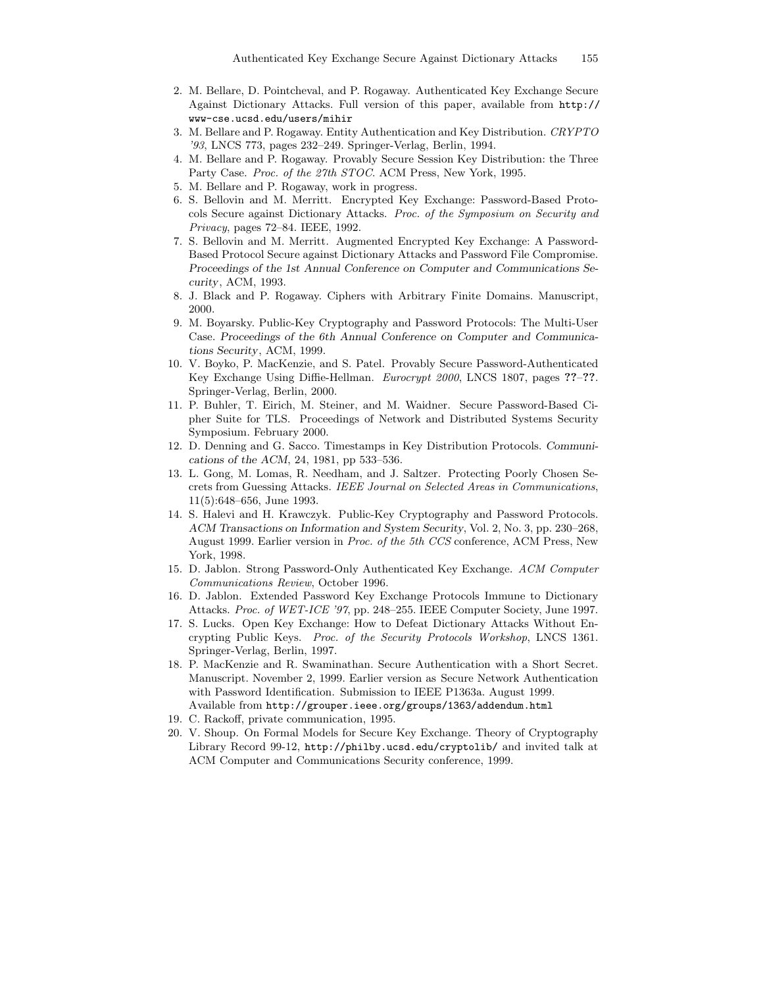- 2. M. Bellare, D. Pointcheval, and P. Rogaway. Authenticated Key Exchange Secure Against Dictionary Attacks. Full version of this paper, available from http:// www-cse.ucsd.edu/users/mihir
- 3. M. Bellare and P. Rogaway. Entity Authentication and Key Distribution. CRYPTO '93, LNCS 773, pages 232–249. Springer-Verlag, Berlin, 1994.
- 4. M. Bellare and P. Rogaway. Provably Secure Session Key Distribution: the Three Party Case. Proc. of the 27th STOC. ACM Press, New York, 1995.
- 5. M. Bellare and P. Rogaway, work in progress.
- 6. S. Bellovin and M. Merritt. Encrypted Key Exchange: Password-Based Protocols Secure against Dictionary Attacks. Proc. of the Symposium on Security and Privacy, pages 72–84. IEEE, 1992.
- 7. S. Bellovin and M. Merritt. Augmented Encrypted Key Exchange: A Password-Based Protocol Secure against Dictionary Attacks and Password File Compromise. Proceedings of the 1st Annual Conference on Computer and Communications Security, ACM, 1993.
- 8. J. Black and P. Rogaway. Ciphers with Arbitrary Finite Domains. Manuscript, 2000.
- 9. M. Boyarsky. Public-Key Cryptography and Password Protocols: The Multi-User Case. Proceedings of the 6th Annual Conference on Computer and Communications Security, ACM, 1999.
- 10. V. Boyko, P. MacKenzie, and S. Patel. Provably Secure Password-Authenticated Key Exchange Using Diffie-Hellman. Eurocrypt 2000, LNCS 1807, pages ??–??. Springer-Verlag, Berlin, 2000.
- 11. P. Buhler, T. Eirich, M. Steiner, and M. Waidner. Secure Password-Based Cipher Suite for TLS. Proceedings of Network and Distributed Systems Security Symposium. February 2000.
- 12. D. Denning and G. Sacco. Timestamps in Key Distribution Protocols. Communications of the ACM, 24, 1981, pp 533–536.
- 13. L. Gong, M. Lomas, R. Needham, and J. Saltzer. Protecting Poorly Chosen Secrets from Guessing Attacks. IEEE Journal on Selected Areas in Communications, 11(5):648–656, June 1993.
- 14. S. Halevi and H. Krawczyk. Public-Key Cryptography and Password Protocols. ACM Transactions on Information and System Security, Vol. 2, No. 3, pp. 230–268, August 1999. Earlier version in Proc. of the 5th CCS conference, ACM Press, New York, 1998.
- 15. D. Jablon. Strong Password-Only Authenticated Key Exchange. ACM Computer Communications Review, October 1996.
- 16. D. Jablon. Extended Password Key Exchange Protocols Immune to Dictionary Attacks. Proc. of WET-ICE '97, pp. 248–255. IEEE Computer Society, June 1997.
- 17. S. Lucks. Open Key Exchange: How to Defeat Dictionary Attacks Without Encrypting Public Keys. Proc. of the Security Protocols Workshop, LNCS 1361. Springer-Verlag, Berlin, 1997.
- 18. P. MacKenzie and R. Swaminathan. Secure Authentication with a Short Secret. Manuscript. November 2, 1999. Earlier version as Secure Network Authentication with Password Identification. Submission to IEEE P1363a. August 1999. Available from http://grouper.ieee.org/groups/1363/addendum.html
- 19. C. Rackoff, private communication, 1995.
- 20. V. Shoup. On Formal Models for Secure Key Exchange. Theory of Cryptography Library Record 99-12, http://philby.ucsd.edu/cryptolib/ and invited talk at ACM Computer and Communications Security conference, 1999.